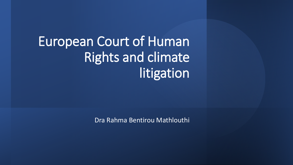European Court of Human Rights and climate litigation

Dra Rahma Bentirou Mathlouthi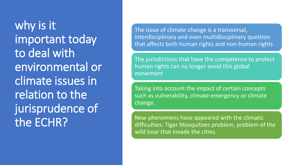why is it important today to deal with environmental or climate issues in relation to the jurisprudence of the ECHR?

The issue of climate change is a transversal, interdisciplinary and even multidisciplinary question that affects both human rights and non-human rights

The jurisdictions that have the competence to protect human rights can no longer avoid this global movement

Taking into account the impact of certain concepts such as vulnerability, climate emergency or climate change.

New phenomens have appeared with the climatic difficulties: Tiger Mosquitoes problem, problem of the wild boar that invade the cities.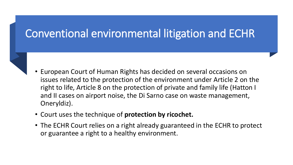- European Court of Human Rights has decided on several occasions on issues related to the protection of the environment under Article 2 on the right to life, Article 8 on the protection of private and family life (Hatton I and II cases on airport noise, the Di Sarno case on waste management, Oneryldiz).
- Court uses the technique of **protection by ricochet.**
- The ECHR Court relies on a right already guaranteed in the ECHR to protect or guarantee a right to a healthy environment.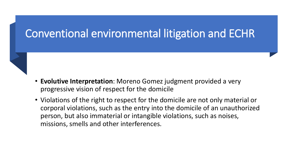- **Evolutive Interpretation**: Moreno Gomez judgment provided a very progressive vision of respect for the domicile
- Violations of the right to respect for the domicile are not only material or corporal violations, such as the entry into the domicile of an unauthorized person, but also immaterial or intangible violations, such as noises, missions, smells and other interferences.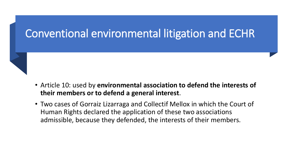

- Article 10: used by **environmental association to defend the interests of their members or to defend a general interest**.
- Two cases of Gorraiz Lizarraga and Collectif Mellox in which the Court of Human Rights declared the application of these two associations admissible, because they defended, the interests of their members.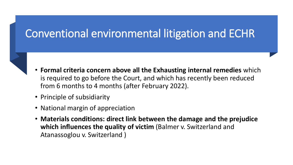- **Formal criteria concern above all the Exhausting internal remedies** which is required to go before the Court, and which has recently been reduced from 6 months to 4 months (after February 2022).
- Principle of subsidiarity
- National margin of appreciation
- **Materials conditions: direct link between the damage and the prejudice which influences the quality of victim** (Balmer v. Switzerland and Atanassoglou v. Switzerland )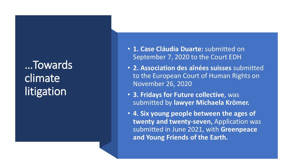### …Towards climate litigation

- **1. Case Cláudia Duarte:** submitted on September 7, 2020 to the Court EDH
- **2. Association des aînées suisses** submitted to the European Court of Human Rights on November 26, 2020
- **3. Fridays for Future collective**, was submitted by **lawyer Michaela Krömer.**
- **4. Six young people between the ages of**  twenty and twenty-seven, Application was submitted in June 2021, with **Greenpeace and Young Friends of the Earth.**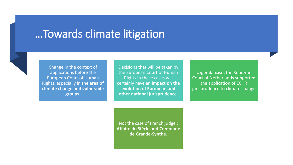#### …Towards climate litigation



Change in the context of applications before the European Court of Human Rights, especially in **the area of climate change and vulnerable groups.**

Decisions that will be taken by the European Court of Human Rights in these cases will certainly have an **impact on the evolution of European and other national jurisprudence**.

**Urgenda case,** the Supreme Court of Netherlands supported the application of ECHR jurisprudence to climate change

Not the case of French judge : **Affaire du Siècle and Commune de Grande-Synthe.**